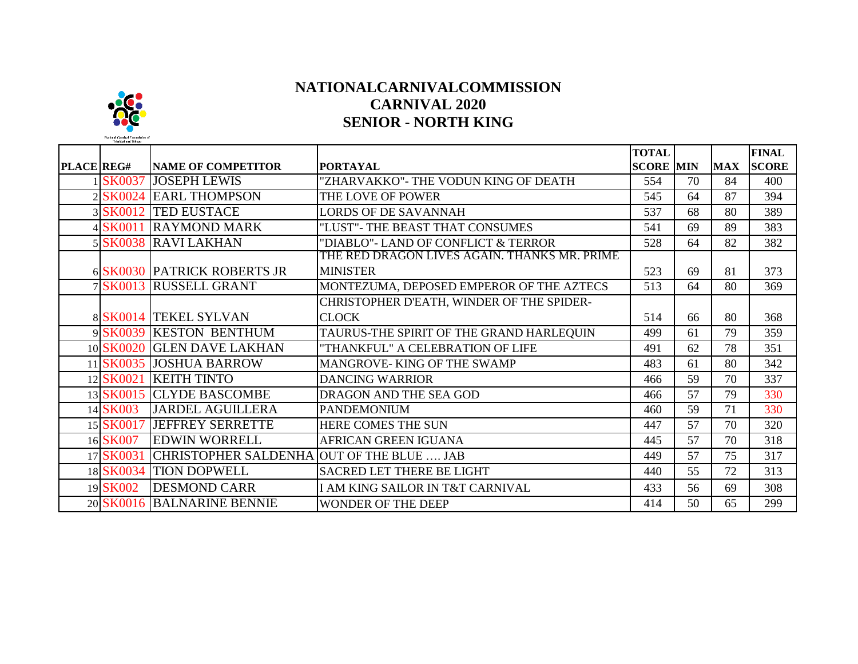## **NATIONALCARNIVALCOMMISSION CARNIVAL 2020 SENIOR - NORTH KING**

|            |               |                                           |                                              | <b>TOTAL</b>     |    |            | <b>FINAL</b> |
|------------|---------------|-------------------------------------------|----------------------------------------------|------------------|----|------------|--------------|
| PLACE REG# |               | <b>NAME OF COMPETITOR</b>                 | <b>PORTAYAL</b>                              | <b>SCORE MIN</b> |    | <b>MAX</b> | <b>SCORE</b> |
|            | <b>SK0037</b> | <b>JOSEPH LEWIS</b>                       | "ZHARVAKKO"- THE VODUN KING OF DEATH         | 554              | 70 | 84         | 400          |
|            |               | 2 SK0024 EARL THOMPSON                    | THE LOVE OF POWER                            | 545              | 64 | 87         | 394          |
|            |               | 3 SK0012 TED EUSTACE                      | <b>LORDS OF DE SAVANNAH</b>                  | 537              | 68 | 80         | 389          |
|            | 4 SK0011      | <b>RAYMOND MARK</b>                       | "LUST"- THE BEAST THAT CONSUMES              | 541              | 69 | 89         | 383          |
|            |               | 5 SK0038 RAVI LAKHAN                      | "DIABLO"- LAND OF CONFLICT & TERROR          | 528              | 64 | 82         | 382          |
|            |               |                                           | THE RED DRAGON LIVES AGAIN. THANKS MR. PRIME |                  |    |            |              |
|            |               | 6 SK0030 PATRICK ROBERTS JR               | <b>MINISTER</b>                              | 523              | 69 | 81         | 373          |
|            |               | 7 SK0013 RUSSELL GRANT                    | MONTEZUMA, DEPOSED EMPEROR OF THE AZTECS     | 513              | 64 | 80         | 369          |
|            |               |                                           | CHRISTOPHER D'EATH, WINDER OF THE SPIDER-    |                  |    |            |              |
|            |               | 8 SK0014 TEKEL SYLVAN                     | <b>CLOCK</b>                                 | 514              | 66 | 80         | 368          |
|            |               | 9SK0039 KESTON BENTHUM                    | TAURUS-THE SPIRIT OF THE GRAND HARLEQUIN     | 499              | 61 | 79         | 359          |
|            |               | 10 SK0020 GLEN DAVE LAKHAN                | "THANKFUL" A CELEBRATION OF LIFE             | 491              | 62 | 78         | 351          |
|            |               | 11 SK0035 JOSHUA BARROW                   | MANGROVE-KING OF THE SWAMP                   | 483              | 61 | 80         | 342          |
|            | 12 SK0021     | <b>KEITH TINTO</b>                        | <b>DANCING WARRIOR</b>                       | 466              | 59 | 70         | 337          |
|            |               | 13 SK0015 CLYDE BASCOMBE                  | DRAGON AND THE SEA GOD                       | 466              | 57 | 79         | 330          |
|            | 14 SK003      | <b>JARDEL AGUILLERA</b>                   | <b>PANDEMONIUM</b>                           | 460              | 59 | 71         | 330          |
|            | 15 SK0017     | <b>JEFFREY SERRETTE</b>                   | HERE COMES THE SUN                           | 447              | 57 | 70         | 320          |
|            | 16 SK007      | <b>EDWIN WORRELL</b>                      | <b>AFRICAN GREEN IGUANA</b>                  | 445              | 57 | 70         | 318          |
|            | 17 SK0031     | CHRISTOPHER SALDENHA OUT OF THE BLUE  JAB |                                              | 449              | 57 | 75         | 317          |
|            |               | 18 SK0034 TION DOPWELL                    | <b>SACRED LET THERE BE LIGHT</b>             | 440              | 55 | 72         | 313          |
|            | 19 SK002      | <b>DESMOND CARR</b>                       | I AM KING SAILOR IN T&T CARNIVAL             | 433              | 56 | 69         | 308          |
|            |               | 20 SK0016 BALNARINE BENNIE                | WONDER OF THE DEEP                           | 414              | 50 | 65         | 299          |